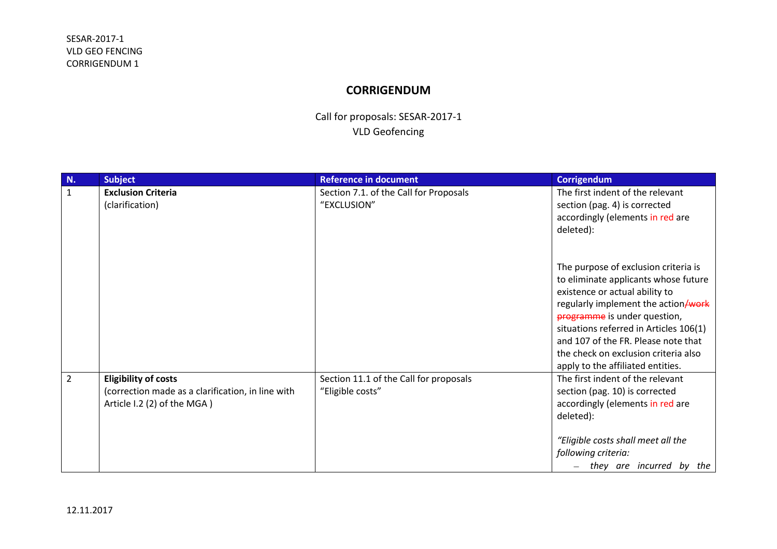## **CORRIGENDUM**

Call for proposals: SESAR-2017-1 VLD Geofencing

| N.             | <b>Subject</b>                                                                                                  | <b>Reference in document</b>                               | <b>Corrigendum</b>                                                                                                                                                                                                                                                                                                                                  |
|----------------|-----------------------------------------------------------------------------------------------------------------|------------------------------------------------------------|-----------------------------------------------------------------------------------------------------------------------------------------------------------------------------------------------------------------------------------------------------------------------------------------------------------------------------------------------------|
| $\mathbf{1}$   | <b>Exclusion Criteria</b><br>(clarification)                                                                    | Section 7.1. of the Call for Proposals<br>"EXCLUSION"      | The first indent of the relevant<br>section (pag. 4) is corrected<br>accordingly (elements in red are<br>deleted):                                                                                                                                                                                                                                  |
|                |                                                                                                                 |                                                            | The purpose of exclusion criteria is<br>to eliminate applicants whose future<br>existence or actual ability to<br>regularly implement the action/work<br>programme is under question,<br>situations referred in Articles 106(1)<br>and 107 of the FR. Please note that<br>the check on exclusion criteria also<br>apply to the affiliated entities. |
| $\overline{2}$ | <b>Eligibility of costs</b><br>(correction made as a clarification, in line with<br>Article I.2 (2) of the MGA) | Section 11.1 of the Call for proposals<br>"Eligible costs" | The first indent of the relevant<br>section (pag. 10) is corrected<br>accordingly (elements in red are<br>deleted):<br>"Eligible costs shall meet all the<br>following criteria:<br>they are incurred by the<br>$\overline{\phantom{0}}$                                                                                                            |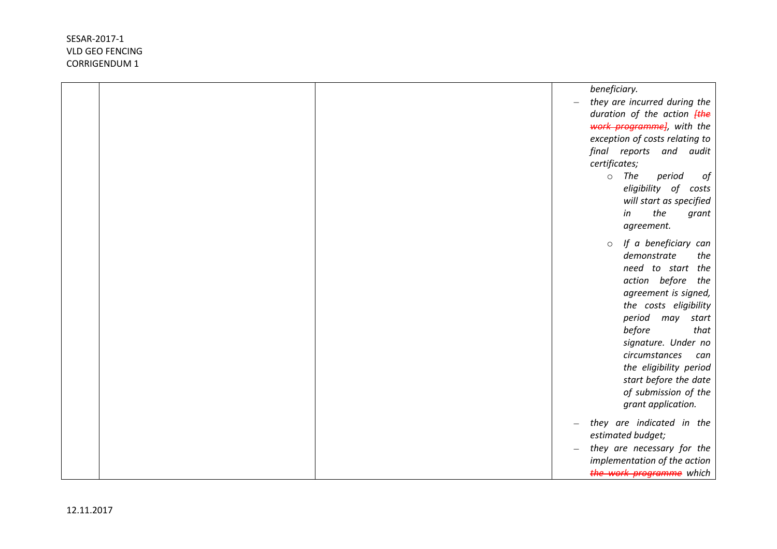|  | beneficiary.                                             |
|--|----------------------------------------------------------|
|  | they are incurred during the<br>$\overline{\phantom{0}}$ |
|  | duration of the action <b>[the</b>                       |
|  | work programme], with the                                |
|  | exception of costs relating to                           |
|  | final reports and audit                                  |
|  | certificates;                                            |
|  | The<br>period<br>$\circ$<br>οf                           |
|  | eligibility of costs                                     |
|  | will start as specified                                  |
|  | the<br>in<br>grant                                       |
|  | agreement.                                               |
|  | If a beneficiary can<br>$\circ$                          |
|  | demonstrate<br>the                                       |
|  | need to start the                                        |
|  | action before<br>the                                     |
|  | agreement is signed,                                     |
|  | the costs eligibility                                    |
|  | period<br>may<br>start                                   |
|  | before<br>that                                           |
|  | signature. Under no                                      |
|  | circumstances<br>can                                     |
|  | the eligibility period                                   |
|  | start before the date                                    |
|  | of submission of the                                     |
|  | grant application.                                       |
|  | they are indicated in the                                |
|  | estimated budget;                                        |
|  | they are necessary for the                               |
|  | implementation of the action                             |
|  | the work programme which                                 |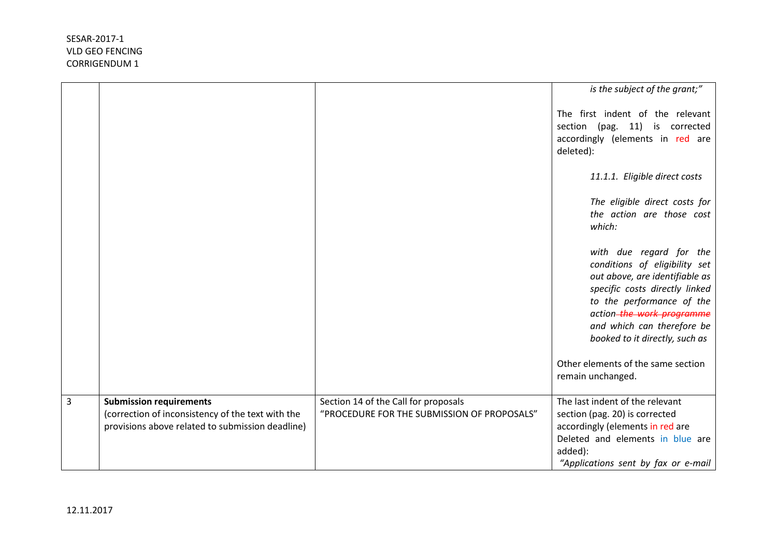|   |                                                                                                                                         |                                                                                     | is the subject of the grant;"                                                                                                                                                                                                                          |
|---|-----------------------------------------------------------------------------------------------------------------------------------------|-------------------------------------------------------------------------------------|--------------------------------------------------------------------------------------------------------------------------------------------------------------------------------------------------------------------------------------------------------|
|   |                                                                                                                                         |                                                                                     | The first indent of the relevant<br>section (pag. 11) is corrected<br>accordingly (elements in red are<br>deleted):                                                                                                                                    |
|   |                                                                                                                                         |                                                                                     | 11.1.1. Eligible direct costs                                                                                                                                                                                                                          |
|   |                                                                                                                                         |                                                                                     | The eligible direct costs for<br>the action are those cost<br>which:                                                                                                                                                                                   |
|   |                                                                                                                                         |                                                                                     | with due regard for the<br>conditions of eligibility set<br>out above, are identifiable as<br>specific costs directly linked<br>to the performance of the<br>action-the work programme<br>and which can therefore be<br>booked to it directly, such as |
|   |                                                                                                                                         |                                                                                     | Other elements of the same section<br>remain unchanged.                                                                                                                                                                                                |
| 3 | <b>Submission requirements</b><br>(correction of inconsistency of the text with the<br>provisions above related to submission deadline) | Section 14 of the Call for proposals<br>"PROCEDURE FOR THE SUBMISSION OF PROPOSALS" | The last indent of the relevant<br>section (pag. 20) is corrected<br>accordingly (elements in red are<br>Deleted and elements in blue are<br>added):<br>"Applications sent by fax or e-mail                                                            |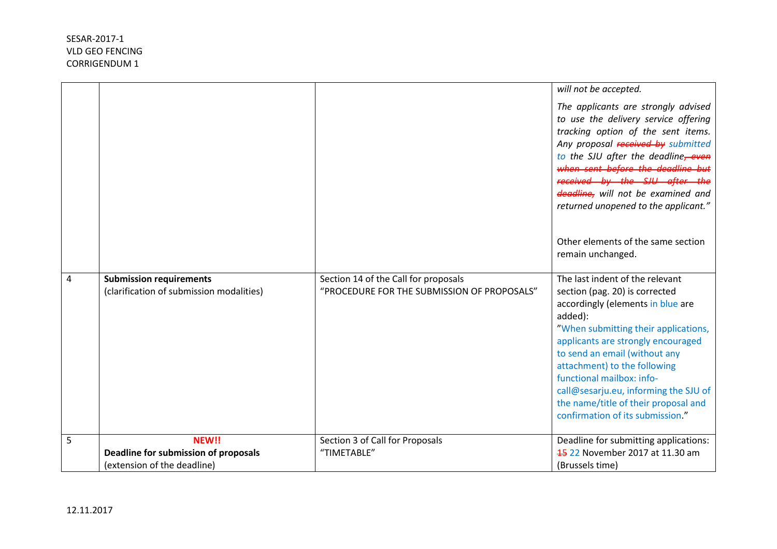|   |                                                                            |                                                                                     | will not be accepted.                                                                                                                                                                                                                                                                                                                                                                                              |
|---|----------------------------------------------------------------------------|-------------------------------------------------------------------------------------|--------------------------------------------------------------------------------------------------------------------------------------------------------------------------------------------------------------------------------------------------------------------------------------------------------------------------------------------------------------------------------------------------------------------|
|   |                                                                            |                                                                                     | The applicants are strongly advised<br>to use the delivery service offering<br>tracking option of the sent items.<br>Any proposal received by submitted<br>to the SJU after the deadline, even<br>when sent before the deadline but<br>received by the SJU after the<br>deadline, will not be examined and<br>returned unopened to the applicant."                                                                 |
|   |                                                                            |                                                                                     | Other elements of the same section<br>remain unchanged.                                                                                                                                                                                                                                                                                                                                                            |
| 4 | <b>Submission requirements</b><br>(clarification of submission modalities) | Section 14 of the Call for proposals<br>"PROCEDURE FOR THE SUBMISSION OF PROPOSALS" | The last indent of the relevant<br>section (pag. 20) is corrected<br>accordingly (elements in blue are<br>added):<br>"When submitting their applications,<br>applicants are strongly encouraged<br>to send an email (without any<br>attachment) to the following<br>functional mailbox: info-<br>call@sesarju.eu, informing the SJU of<br>the name/title of their proposal and<br>confirmation of its submission." |
| 5 | NEW!!                                                                      | Section 3 of Call for Proposals                                                     | Deadline for submitting applications:                                                                                                                                                                                                                                                                                                                                                                              |
|   | Deadline for submission of proposals                                       | "TIMETABLE"                                                                         | 45 22 November 2017 at 11.30 am                                                                                                                                                                                                                                                                                                                                                                                    |
|   | (extension of the deadline)                                                |                                                                                     | (Brussels time)                                                                                                                                                                                                                                                                                                                                                                                                    |